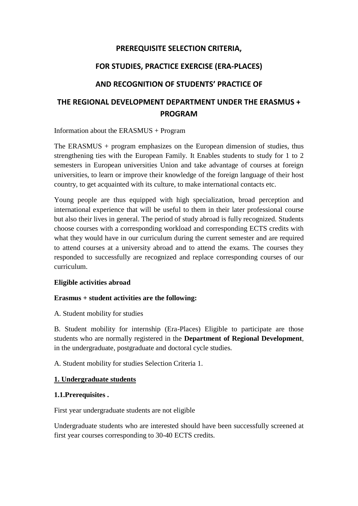# **PREREQUISITE SELECTION CRITERIA,**

# **FOR STUDIES, PRACTICE EXERCISE (ERA-PLACES)**

# **AND RECOGNITION OF STUDENTS' PRACTICE OF**

# **THE REGIONAL DEVELOPMENT DEPARTMENT UNDER THE ERASMUS + PROGRAM**

Information about the ERASMUS + Program

The ERASMUS + program emphasizes on the European dimension of studies, thus strengthening ties with the European Family. It Enables students to study for 1 to 2 semesters in European universities Union and take advantage of courses at foreign universities, to learn or improve their knowledge of the foreign language of their host country, to get acquainted with its culture, to make international contacts etc.

Young people are thus equipped with high specialization, broad perception and international experience that will be useful to them in their later professional course but also their lives in general. The period of study abroad is fully recognized. Students choose courses with a corresponding workload and corresponding ECTS credits with what they would have in our curriculum during the current semester and are required to attend courses at a university abroad and to attend the exams. The courses they responded to successfully are recognized and replace corresponding courses of our curriculum.

#### **Eligible activities abroad**

#### **Erasmus + student activities are the following:**

A. Student mobility for studies

B. Student mobility for internship (Era-Places) Eligible to participate are those students who are normally registered in the **Department of Regional Development**, in the undergraduate, postgraduate and doctoral cycle studies.

A. Student mobility for studies Selection Criteria 1.

#### **1. Undergraduate students**

#### **1.1.Prerequisites .**

First year undergraduate students are not eligible

Undergraduate students who are interested should have been successfully screened at first year courses corresponding to 30-40 ECTS credits.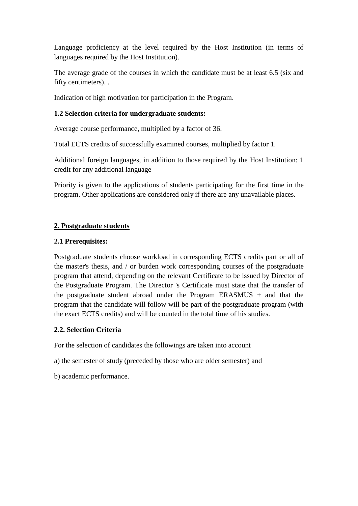Language proficiency at the level required by the Host Institution (in terms of languages required by the Host Institution).

The average grade of the courses in which the candidate must be at least 6.5 (six and fifty centimeters). .

Indication of high motivation for participation in the Program.

#### **1.2 Selection criteria for undergraduate students:**

Average course performance, multiplied by a factor of 36.

Total ECTS credits of successfully examined courses, multiplied by factor 1.

Additional foreign languages, in addition to those required by the Host Institution: 1 credit for any additional language

Priority is given to the applications of students participating for the first time in the program. Other applications are considered only if there are any unavailable places.

#### **2. Postgraduate students**

#### **2.1 Prerequisites:**

Postgraduate students choose workload in corresponding ECTS credits part or all of the master's thesis, and / or burden work corresponding courses of the postgraduate program that attend, depending on the relevant Certificate to be issued by Director of the Postgraduate Program. The Director 's Certificate must state that the transfer of the postgraduate student abroad under the Program ERASMUS + and that the program that the candidate will follow will be part of the postgraduate program (with the exact ECTS credits) and will be counted in the total time of his studies.

# **2.2. Selection Criteria**

For the selection of candidates the followings are taken into account

a) the semester of study (preceded by those who are older semester) and

b) academic performance.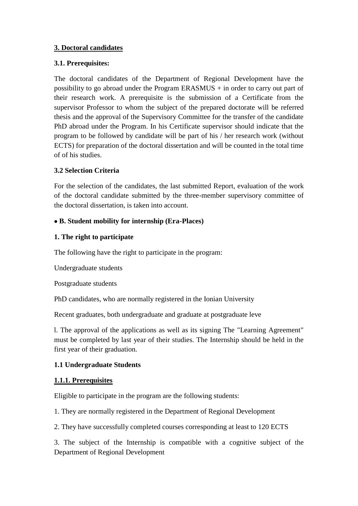#### **3. Doctoral candidates**

#### **3.1. Prerequisites:**

The doctoral candidates of the Department of Regional Development have the possibility to go abroad under the Program ERASMUS  $+$  in order to carry out part of their research work. A prerequisite is the submission of a Certificate from the supervisor Professor to whom the subject of the prepared doctorate will be referred thesis and the approval of the Supervisory Committee for the transfer of the candidate PhD abroad under the Program. In his Certificate supervisor should indicate that the program to be followed by candidate will be part of his / her research work (without ECTS) for preparation of the doctoral dissertation and will be counted in the total time of of his studies.

#### **3.2 Selection Criteria**

For the selection of the candidates, the last submitted Report, evaluation of the work of the doctoral candidate submitted by the three-member supervisory committee of the doctoral dissertation, is taken into account.

#### **B. Student mobility for internship (Era-Places)**

#### **1. The right to participate**

The following have the right to participate in the program:

Undergraduate students

Postgraduate students

PhD candidates, who are normally registered in the Ionian University

Recent graduates, both undergraduate and graduate at postgraduate leve

l. The approval of the applications as well as its signing The "Learning Agreement" must be completed by last year of their studies. The Internship should be held in the first year of their graduation.

# **1.1 Undergraduate Students**

# **1.1.1. Prerequisites**

Eligible to participate in the program are the following students:

1. They are normally registered in the Department of Regional Development

2. They have successfully completed courses corresponding at least to 120 ECTS

3. The subject of the Internship is compatible with a cognitive subject of the Department of Regional Development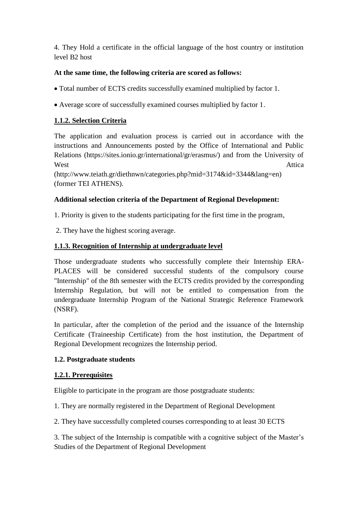4. They Hold a certificate in the official language of the host country or institution level B2 host

### **At the same time, the following criteria are scored as follows:**

- Total number of ECTS credits successfully examined multiplied by factor 1.
- Average score of successfully examined courses multiplied by factor 1.

# **1.1.2. Selection Criteria**

The application and evaluation process is carried out in accordance with the instructions and Announcements posted by the Office of International and Public Relations (https://sites.ionio.gr/international/gr/erasmus/) and from the University of West Attica

(http://www.teiath.gr/diethnwn/categories.php?mid=3174&id=3344&lang=en) (former TEI ATHENS).

# **Additional selection criteria of the Department of Regional Development:**

1. Priority is given to the students participating for the first time in the program,

2. They have the highest scoring average.

# **1.1.3. Recognition of Internship at undergraduate level**

Those undergraduate students who successfully complete their Internship ERA-PLACES will be considered successful students of the compulsory course "Internship" of the 8th semester with the ECTS credits provided by the corresponding Internship Regulation, but will not be entitled to compensation from the undergraduate Internship Program of the National Strategic Reference Framework (NSRF).

In particular, after the completion of the period and the issuance of the Internship Certificate (Traineeship Certificate) from the host institution, the Department of Regional Development recognizes the Internship period.

#### **1.2. Postgraduate students**

#### **1.2.1. Prerequisites**

Eligible to participate in the program are those postgraduate students:

1. They are normally registered in the Department of Regional Development

2. They have successfully completed courses corresponding to at least 30 ECTS

3. The subject of the Internship is compatible with a cognitive subject of the Master's Studies of the Department of Regional Development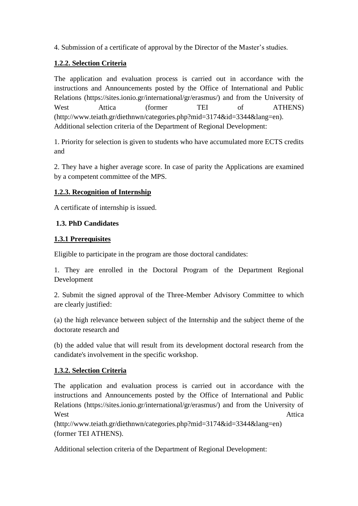4. Submission of a certificate of approval by the Director of the Master's studies.

# **1.2.2. Selection Criteria**

The application and evaluation process is carried out in accordance with the instructions and Announcements posted by the Office of International and Public Relations (https://sites.ionio.gr/international/gr/erasmus/) and from the University of West Attica (former TEI of ATHENS) (http://www.teiath.gr/diethnwn/categories.php?mid=3174&id=3344&lang=en). Additional selection criteria of the Department of Regional Development:

1. Priority for selection is given to students who have accumulated more ECTS credits and

2. They have a higher average score. In case of parity the Applications are examined by a competent committee of the MPS.

# **1.2.3. Recognition of Internship**

A certificate of internship is issued.

# **1.3. PhD Candidates**

# **1.3.1 Prerequisites**

Eligible to participate in the program are those doctoral candidates:

1. They are enrolled in the Doctoral Program of the Department Regional Development

2. Submit the signed approval of the Three-Member Advisory Committee to which are clearly justified:

(a) the high relevance between subject of the Internship and the subject theme of the doctorate research and

(b) the added value that will result from its development doctoral research from the candidate's involvement in the specific workshop.

# **1.3.2. Selection Criteria**

The application and evaluation process is carried out in accordance with the instructions and Announcements posted by the Office of International and Public Relations (https://sites.ionio.gr/international/gr/erasmus/) and from the University of West Attica

(http://www.teiath.gr/diethnwn/categories.php?mid=3174&id=3344&lang=en) (former TEI ATHENS).

Additional selection criteria of the Department of Regional Development: